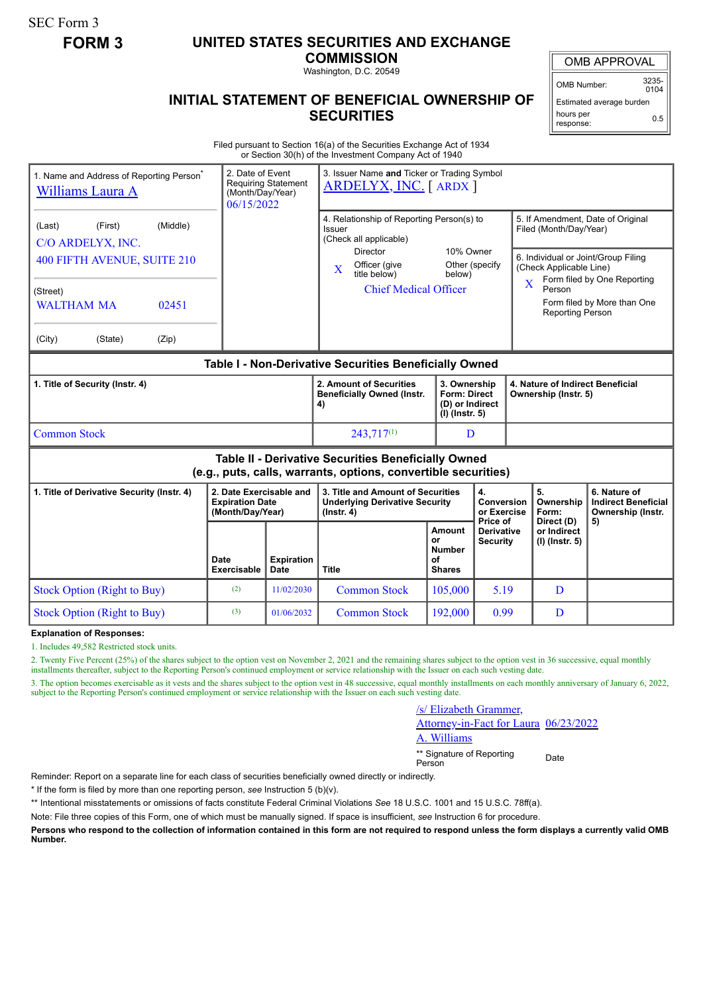SEC Form 3

## **FORM 3 UNITED STATES SECURITIES AND EXCHANGE**

**COMMISSION** Washington, D.C. 20549

OMB APPROVAL

OMB Number: 3235-  $0104$ 

Estimated average burden hours per response: 0.5

## **INITIAL STATEMENT OF BENEFICIAL OWNERSHIP OF SECURITIES**

Filed pursuant to Section 16(a) of the Securities Exchange Act of 1934 or Section 30(h) of the Investment Company Act of 1940

| 1. Name and Address of Reporting Person <sup>®</sup><br>Williams Laura A                                                                                  | 3. Issuer Name and Ticker or Trading Symbol<br><b>ARDELYX, INC.</b> [ARDX ] |                                                                                                                                                                                  |                                                                            |                                             |                                                                                                                                                                                               |                                                                       |
|-----------------------------------------------------------------------------------------------------------------------------------------------------------|-----------------------------------------------------------------------------|----------------------------------------------------------------------------------------------------------------------------------------------------------------------------------|----------------------------------------------------------------------------|---------------------------------------------|-----------------------------------------------------------------------------------------------------------------------------------------------------------------------------------------------|-----------------------------------------------------------------------|
| (Middle)<br>(First)<br>(Last)<br>C/O ARDELYX, INC.<br>400 FIFTH AVENUE, SUITE 210<br>(Street)<br><b>WALTHAM MA</b><br>02451<br>(City)<br>(State)<br>(Zip) |                                                                             | 4. Relationship of Reporting Person(s) to<br>Issuer<br>(Check all applicable)<br><b>Director</b><br>Officer (give<br>$\mathbf X$<br>title below)<br><b>Chief Medical Officer</b> | 10% Owner<br>below)                                                        | Other (specify                              | 5. If Amendment, Date of Original<br>Filed (Month/Day/Year)<br>6. Individual or Joint/Group Filing<br>(Check Applicable Line)<br>$\overline{\mathbf{X}}$<br>Person<br><b>Reporting Person</b> | Form filed by One Reporting<br>Form filed by More than One            |
| Table I - Non-Derivative Securities Beneficially Owned                                                                                                    |                                                                             |                                                                                                                                                                                  |                                                                            |                                             |                                                                                                                                                                                               |                                                                       |
| 1. Title of Security (Instr. 4)                                                                                                                           |                                                                             | 2. Amount of Securities<br><b>Beneficially Owned (Instr.</b><br>4)                                                                                                               | 3. Ownership<br><b>Form: Direct</b><br>(D) or Indirect<br>$(I)$ (Instr. 5) |                                             | 4. Nature of Indirect Beneficial<br>Ownership (Instr. 5)                                                                                                                                      |                                                                       |
| <b>Common Stock</b>                                                                                                                                       |                                                                             | $243,717^{(1)}$                                                                                                                                                                  | D                                                                          |                                             |                                                                                                                                                                                               |                                                                       |
| Table II - Derivative Securities Beneficially Owned<br>(e.g., puts, calls, warrants, options, convertible securities)                                     |                                                                             |                                                                                                                                                                                  |                                                                            |                                             |                                                                                                                                                                                               |                                                                       |
| 1. Title of Derivative Security (Instr. 4)                                                                                                                | 2. Date Exercisable and<br><b>Expiration Date</b><br>(Month/Day/Year)       | 3. Title and Amount of Securities<br><b>Underlying Derivative Security</b><br>$($ lnstr. 4 $)$                                                                                   |                                                                            | 4.<br>Conversion<br>or Exercise<br>Price of | 5.<br>Ownership<br>Form:                                                                                                                                                                      | 6. Nature of<br><b>Indirect Beneficial</b><br>Ownership (Instr.<br>5) |
|                                                                                                                                                           | Date<br><b>Expiration</b><br>Exercisable<br>Date                            | <b>Title</b>                                                                                                                                                                     | Amount<br>or<br><b>Number</b><br>οf<br><b>Shares</b>                       | <b>Derivative</b><br><b>Security</b>        | Direct (D)<br>or Indirect<br>(I) (Instr. 5)                                                                                                                                                   |                                                                       |
| <b>Stock Option (Right to Buy)</b>                                                                                                                        | (2)<br>11/02/2030                                                           | <b>Common Stock</b>                                                                                                                                                              | 105,000                                                                    | 5.19                                        | D                                                                                                                                                                                             |                                                                       |
| <b>Stock Option (Right to Buy)</b>                                                                                                                        | (3)<br>01/06/2032                                                           | <b>Common Stock</b>                                                                                                                                                              | 192,000                                                                    | 0.99                                        | D                                                                                                                                                                                             |                                                                       |

**Explanation of Responses:**

1. Includes 49,582 Restricted stock units.

2. Twenty Five Percent (25%) of the shares subject to the option vest on November 2, 2021 and the remaining shares subject to the option vest in 36 successive, equal monthly installments thereafter, subject to the Reporting Person's continued employment or service relationship with the Issuer on each such vesting date.

3. The option becomes exercisable as it vests and the shares subject to the option vest in 48 successive, equal monthly installments on each monthly anniversary of January 6, 2022, subject to the Reporting Person's continued employment or service relationship with the Issuer on each such vesting date.

## /s/ Elizabeth Grammer,

Attorney-in-Fact for Laura 06/23/2022

A. Williams

\*\* Signature of Reporting Person Date

Reminder: Report on a separate line for each class of securities beneficially owned directly or indirectly.

\* If the form is filed by more than one reporting person, *see* Instruction 5 (b)(v).

\*\* Intentional misstatements or omissions of facts constitute Federal Criminal Violations *See* 18 U.S.C. 1001 and 15 U.S.C. 78ff(a).

Note: File three copies of this Form, one of which must be manually signed. If space is insufficient, *see* Instruction 6 for procedure.

**Persons who respond to the collection of information contained in this form are not required to respond unless the form displays a currently valid OMB Number.**